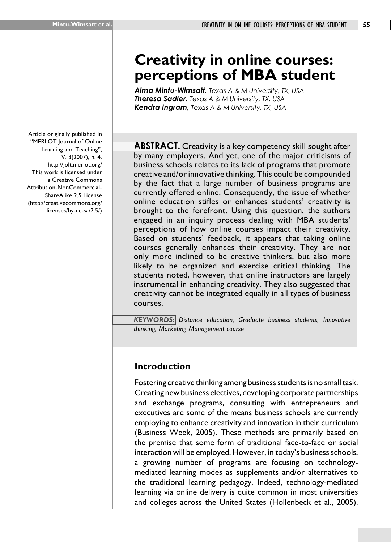# **Creativity in online courses: perceptions of MBA student**

*Alma Mintu-Wimsatt, Texas A & M University, TX, USA Theresa Sadler, Texas A & M University, TX, USA Kendra Ingram, Texas A & M University, TX, USA*

**ABSTRACT.** Creativity is a key competency skill sought after by many employers. And yet, one of the major criticisms of business schools relates to its lack of programs that promote creative and/or innovative thinking. This could be compounded by the fact that a large number of business programs are currently offered online. Consequently, the issue of whether online education stifles or enhances students' creativity is brought to the forefront. Using this question, the authors engaged in an inquiry process dealing with MBA students' perceptions of how online courses impact their creativity. Based on students' feedback, it appears that taking online courses generally enhances their creativity. They are not only more inclined to be creative thinkers, but also more likely to be organized and exercise critical thinking. The students noted, however, that online instructors are largely instrumental in enhancing creativity. They also suggested that creativity cannot be integrated equally in all types of business courses.

*KEYWORDS: Distance education, Graduate business students, Innovative thinking, Marketing Management course*

# **Introduction**

Fostering creative thinking among business students is no small task. Creating new business electives, developing corporate partnerships and exchange programs, consulting with entrepreneurs and executives are some of the means business schools are currently employing to enhance creativity and innovation in their curriculum (Business Week, 2005). These methods are primarily based on the premise that some form of traditional face-to-face or social interaction will be employed. However, in today's business schools, a growing number of programs are focusing on technologymediated learning modes as supplements and/or alternatives to the traditional learning pedagogy. Indeed, technology-mediated learning via online delivery is quite common in most universities and colleges across the United States (Hollenbeck et al., 2005).

Article originally published in "MERLOT Journal of Online Learning and Teaching", V. 3(2007), n. 4. http://jolt.merlot.org/ This work is licensed under a Creative Commons Attribution-NonCommercial-ShareAlike 2.5 License (http://creativecommons.org/ licenses/by-nc-sa/2.5/)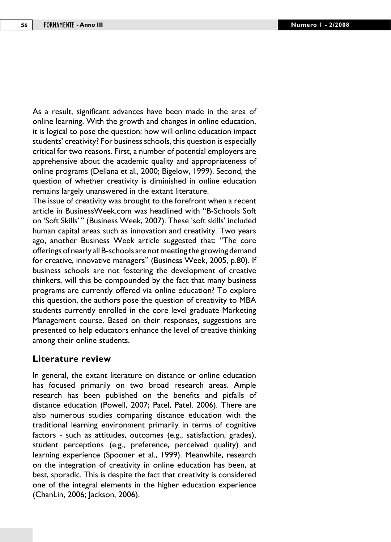As a result, significant advances have been made in the area of online learning. With the growth and changes in online education, it is logical to pose the question: how will online education impact students' creativity? For business schools, this question is especially critical for two reasons. First, a number of potential employers are apprehensive about the academic quality and appropriateness of online programs (Dellana et al., 2000; Bigelow, 1999). Second, the question of whether creativity is diminished in online education remains largely unanswered in the extant literature.

The issue of creativity was brought to the forefront when a recent article in BusinessWeek.com was headlined with "B-Schools Soft on 'Soft Skills' " (Business Week, 2007). These 'soft skills' included human capital areas such as innovation and creativity. Two years ago, another Business Week article suggested that: "The core offerings of nearly all B-schools are not meeting the growing demand for creative, innovative managers" (Business Week, 2005, p.80). If business schools are not fostering the development of creative thinkers, will this be compounded by the fact that many business programs are currently offered via online education? To explore this question, the authors pose the question of creativity to MBA students currently enrolled in the core level graduate Marketing Management course. Based on their responses, suggestions are presented to help educators enhance the level of creative thinking among their online students.

## **Literature review**

In general, the extant literature on distance or online education has focused primarily on two broad research areas. Ample research has been published on the benefits and pitfalls of distance education (Powell, 2007; Patel, Patel, 2006). There are also numerous studies comparing distance education with the traditional learning environment primarily in terms of cognitive factors - such as attitudes, outcomes (e.g., satisfaction, grades), student perceptions (e.g., preference, perceived quality) and learning experience (Spooner et al., 1999). Meanwhile, research on the integration of creativity in online education has been, at best, sporadic. This is despite the fact that creativity is considered one of the integral elements in the higher education experience (ChanLin, 2006; Jackson, 2006).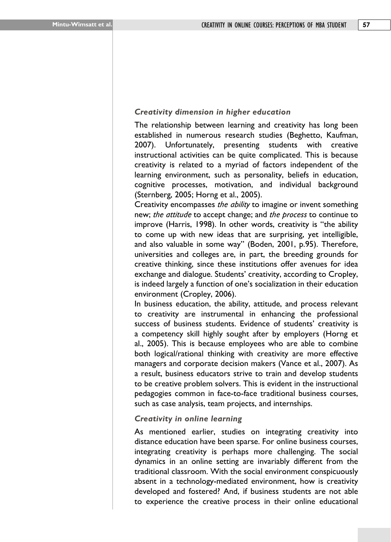## *Creativity dimension in higher education*

The relationship between learning and creativity has long been established in numerous research studies (Beghetto, Kaufman, 2007). Unfortunately, presenting students with creative instructional activities can be quite complicated. This is because creativity is related to a myriad of factors independent of the learning environment, such as personality, beliefs in education, cognitive processes, motivation, and individual background (Sternberg, 2005; Horng et al., 2005).

Creativity encompasses *the ability* to imagine or invent something new; *the attitude* to accept change; and *the process* to continue to improve (Harris, 1998). In other words, creativity is "the ability to come up with new ideas that are surprising, yet intelligible, and also valuable in some way" (Boden, 2001, p.95). Therefore, universities and colleges are, in part, the breeding grounds for creative thinking, since these institutions offer avenues for idea exchange and dialogue. Students' creativity, according to Cropley, is indeed largely a function of one's socialization in their education environment (Cropley, 2006).

In business education, the ability, attitude, and process relevant to creativity are instrumental in enhancing the professional success of business students. Evidence of students' creativity is a competency skill highly sought after by employers (Horng et al., 2005). This is because employees who are able to combine both logical/rational thinking with creativity are more effective managers and corporate decision makers (Vance et al., 2007). As a result, business educators strive to train and develop students to be creative problem solvers. This is evident in the instructional pedagogies common in face-to-face traditional business courses, such as case analysis, team projects, and internships.

## *Creativity in online learning*

As mentioned earlier, studies on integrating creativity into distance education have been sparse. For online business courses, integrating creativity is perhaps more challenging. The social dynamics in an online setting are invariably different from the traditional classroom. With the social environment conspicuously absent in a technology-mediated environment, how is creativity developed and fostered? And, if business students are not able to experience the creative process in their online educational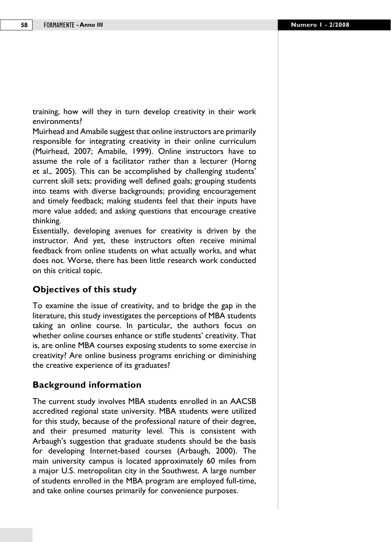training, how will they in turn develop creativity in their work environments?

Muirhead and Amabile suggest that online instructors are primarily responsible for integrating creativity in their online curriculum (Muirhead, 2007; Amabile, 1999). Online instructors have to assume the role of a facilitator rather than a lecturer (Horng et al., 2005). This can be accomplished by challenging students' current skill sets; providing well defined goals; grouping students into teams with diverse backgrounds; providing encouragement and timely feedback; making students feel that their inputs have more value added; and asking questions that encourage creative thinking.

Essentially, developing avenues for creativity is driven by the instructor. And yet, these instructors often receive minimal feedback from online students on what actually works, and what does not. Worse, there has been little research work conducted on this critical topic.

# **Objectives of this study**

To examine the issue of creativity, and to bridge the gap in the literature, this study investigates the perceptions of MBA students taking an online course. In particular, the authors focus on whether online courses enhance or stifle students' creativity. That is, are online MBA courses exposing students to some exercise in creativity? Are online business programs enriching or diminishing the creative experience of its graduates?

## **Background information**

The current study involves MBA students enrolled in an AACSB accredited regional state university. MBA students were utilized for this study, because of the professional nature of their degree, and their presumed maturity level. This is consistent with Arbaugh's suggestion that graduate students should be the basis for developing Internet-based courses (Arbaugh, 2000). The main university campus is located approximately 60 miles from a major U.S. metropolitan city in the Southwest. A large number of students enrolled in the MBA program are employed full-time, and take online courses primarily for convenience purposes.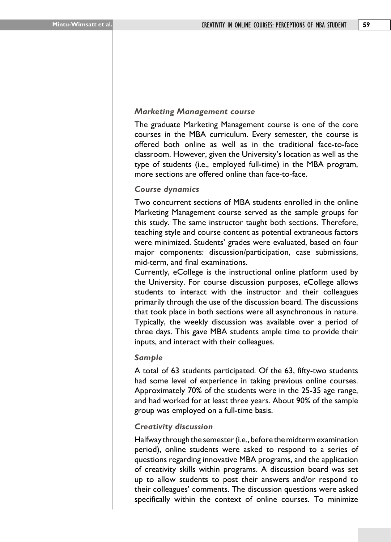#### *Marketing Management course*

The graduate Marketing Management course is one of the core courses in the MBA curriculum. Every semester, the course is offered both online as well as in the traditional face-to-face classroom. However, given the University's location as well as the type of students (i.e., employed full-time) in the MBA program, more sections are offered online than face-to-face.

#### *Course dynamics*

Two concurrent sections of MBA students enrolled in the online Marketing Management course served as the sample groups for this study. The same instructor taught both sections. Therefore, teaching style and course content as potential extraneous factors were minimized. Students' grades were evaluated, based on four major components: discussion/participation, case submissions, mid-term, and final examinations.

Currently, eCollege is the instructional online platform used by the University. For course discussion purposes, eCollege allows students to interact with the instructor and their colleagues primarily through the use of the discussion board. The discussions that took place in both sections were all asynchronous in nature. Typically, the weekly discussion was available over a period of three days. This gave MBA students ample time to provide their inputs, and interact with their colleagues.

#### *Sample*

A total of 63 students participated. Of the 63, fifty-two students had some level of experience in taking previous online courses. Approximately 70% of the students were in the 25-35 age range, and had worked for at least three years. About 90% of the sample group was employed on a full-time basis.

#### *Creativity discussion*

Halfway through the semester (i.e., before the midterm examination period), online students were asked to respond to a series of questions regarding innovative MBA programs, and the application of creativity skills within programs. A discussion board was set up to allow students to post their answers and/or respond to their colleagues' comments. The discussion questions were asked specifically within the context of online courses. To minimize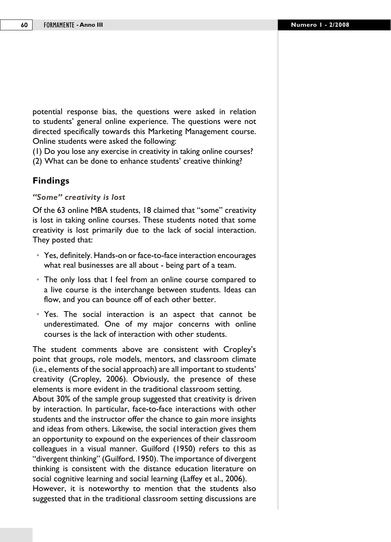potential response bias, the questions were asked in relation to students' general online experience. The questions were not directed specifically towards this Marketing Management course. Online students were asked the following:

(1) Do you lose any exercise in creativity in taking online courses?

(2) What can be done to enhance students' creative thinking?

# **Findings**

*"Some" creativity is lost*

Of the 63 online MBA students, 18 claimed that "some" creativity is lost in taking online courses. These students noted that some creativity is lost primarily due to the lack of social interaction. They posted that:

- • Yes, definitely. Hands-on or face-to-face interaction encourages what real businesses are all about - being part of a team.
- The only loss that I feel from an online course compared to a live course is the interchange between students. Ideas can flow, and you can bounce off of each other better.
- Yes. The social interaction is an aspect that cannot be underestimated. One of my major concerns with online courses is the lack of interaction with other students.

The student comments above are consistent with Cropley's point that groups, role models, mentors, and classroom climate (i.e., elements of the social approach) are all important to students' creativity (Cropley, 2006). Obviously, the presence of these elements is more evident in the traditional classroom setting.

About 30% of the sample group suggested that creativity is driven by interaction. In particular, face-to-face interactions with other students and the instructor offer the chance to gain more insights and ideas from others. Likewise, the social interaction gives them an opportunity to expound on the experiences of their classroom colleagues in a visual manner. Guilford (1950) refers to this as "divergent thinking" (Guilford, 1950). The importance of divergent thinking is consistent with the distance education literature on social cognitive learning and social learning (Laffey et al., 2006). However, it is noteworthy to mention that the students also suggested that in the traditional classroom setting discussions are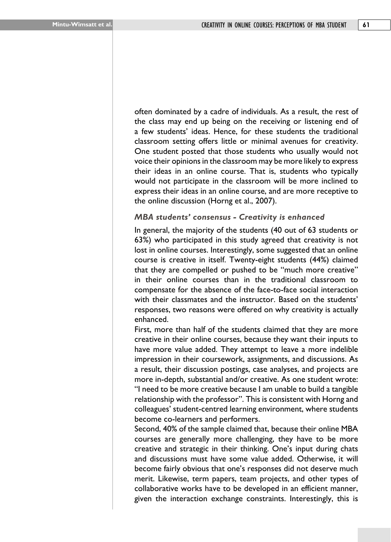often dominated by a cadre of individuals. As a result, the rest of the class may end up being on the receiving or listening end of a few students' ideas. Hence, for these students the traditional classroom setting offers little or minimal avenues for creativity. One student posted that those students who usually would not voice their opinions in the classroom may be more likely to express their ideas in an online course. That is, students who typically would not participate in the classroom will be more inclined to express their ideas in an online course, and are more receptive to the online discussion (Horng et al., 2007).

#### *MBA students' consensus - Creativity is enhanced*

In general, the majority of the students (40 out of 63 students or 63%) who participated in this study agreed that creativity is not lost in online courses. Interestingly, some suggested that an online course is creative in itself. Twenty-eight students (44%) claimed that they are compelled or pushed to be "much more creative" in their online courses than in the traditional classroom to compensate for the absence of the face-to-face social interaction with their classmates and the instructor. Based on the students' responses, two reasons were offered on why creativity is actually enhanced.

First, more than half of the students claimed that they are more creative in their online courses, because they want their inputs to have more value added. They attempt to leave a more indelible impression in their coursework, assignments, and discussions. As a result, their discussion postings, case analyses, and projects are more in-depth, substantial and/or creative. As one student wrote: "I need to be more creative because I am unable to build a tangible relationship with the professor". This is consistent with Horng and colleagues' student-centred learning environment, where students become co-learners and performers.

Second, 40% of the sample claimed that, because their online MBA courses are generally more challenging, they have to be more creative and strategic in their thinking. One's input during chats and discussions must have some value added. Otherwise, it will become fairly obvious that one's responses did not deserve much merit. Likewise, term papers, team projects, and other types of collaborative works have to be developed in an efficient manner, given the interaction exchange constraints. Interestingly, this is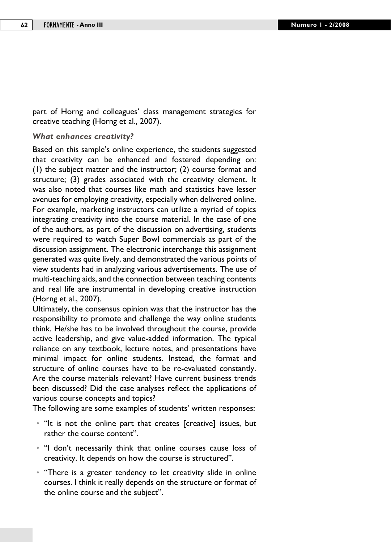part of Horng and colleagues' class management strategies for creative teaching (Horng et al., 2007).

#### *What enhances creativity?*

Based on this sample's online experience, the students suggested that creativity can be enhanced and fostered depending on: (1) the subject matter and the instructor; (2) course format and structure; (3) grades associated with the creativity element. It was also noted that courses like math and statistics have lesser avenues for employing creativity, especially when delivered online. For example, marketing instructors can utilize a myriad of topics integrating creativity into the course material. In the case of one of the authors, as part of the discussion on advertising, students were required to watch Super Bowl commercials as part of the discussion assignment. The electronic interchange this assignment generated was quite lively, and demonstrated the various points of view students had in analyzing various advertisements. The use of multi-teaching aids, and the connection between teaching contents and real life are instrumental in developing creative instruction (Horng et al., 2007).

Ultimately, the consensus opinion was that the instructor has the responsibility to promote and challenge the way online students think. He/she has to be involved throughout the course, provide active leadership, and give value-added information. The typical reliance on any textbook, lecture notes, and presentations have minimal impact for online students. Instead, the format and structure of online courses have to be re-evaluated constantly. Are the course materials relevant? Have current business trends been discussed? Did the case analyses reflect the applications of various course concepts and topics?

The following are some examples of students' written responses:

- "It is not the online part that creates [creative] issues, but rather the course content".
- "I don't necessarily think that online courses cause loss of creativity. It depends on how the course is structured".
- "There is a greater tendency to let creativity slide in online courses. I think it really depends on the structure or format of the online course and the subject".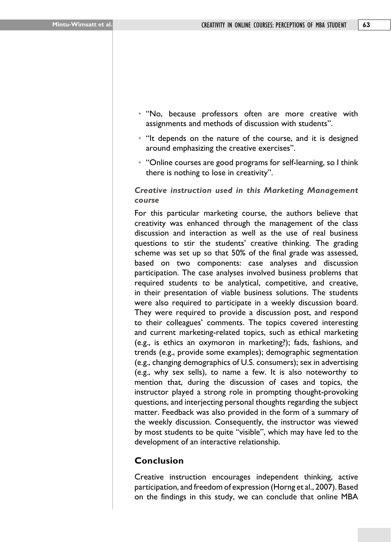- "No, because professors often are more creative with assignments and methods of discussion with students".
- "It depends on the nature of the course, and it is designed around emphasizing the creative exercises".
- "Online courses are good programs for self-learning, so I think there is nothing to lose in creativity".

# *Creative instruction used in this Marketing Management course*

For this particular marketing course, the authors believe that creativity was enhanced through the management of the class discussion and interaction as well as the use of real business questions to stir the students' creative thinking. The grading scheme was set up so that 50% of the final grade was assessed, based on two components: case analyses and discussion participation. The case analyses involved business problems that required students to be analytical, competitive, and creative, in their presentation of viable business solutions. The students were also required to participate in a weekly discussion board. They were required to provide a discussion post, and respond to their colleagues' comments. The topics covered interesting and current marketing-related topics, such as ethical marketing (e.g., is ethics an oxymoron in marketing?); fads, fashions, and trends (e.g., provide some examples); demographic segmentation (e.g., changing demographics of U.S. consumers); sex in advertising (e.g., why sex sells), to name a few. It is also noteworthy to mention that, during the discussion of cases and topics, the instructor played a strong role in prompting thought-provoking questions, and interjecting personal thoughts regarding the subject matter. Feedback was also provided in the form of a summary of the weekly discussion. Consequently, the instructor was viewed by most students to be quite "visible", which may have led to the development of an interactive relationship.

# **Conclusion**

Creative instruction encourages independent thinking, active participation, and freedom of expression (Horng et al., 2007). Based on the findings in this study, we can conclude that online MBA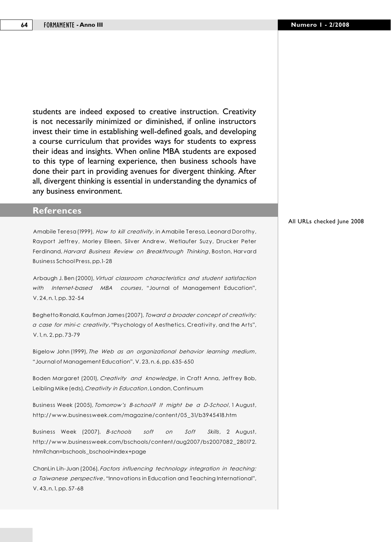students are indeed exposed to creative instruction. Creativity is not necessarily minimized or diminished, if online instructors invest their time in establishing well-defined goals, and developing a course curriculum that provides ways for students to express their ideas and insights. When online MBA students are exposed to this type of learning experience, then business schools have done their part in providing avenues for divergent thinking. After all, divergent thinking is essential in understanding the dynamics of any business environment.

## **References**

Amabile Teresa (1999), *How to kill creativity*, in Amabile Teresa, Leonard Dorothy, Rayport Jeffrey, Morley Elleen, Silver Andrew, Wetlaufer Suzy, Drucker Peter Ferdinand, *Harvard Business Review on Breakthrough Thinking*, Boston, Harvard Business School Press, pp.1-28

Arbaugh J. Ben (2000), *Virtual classroom characteristics and student satisfaction with Internet-based MBA courses*, "Journal of Management Education", V. 24, n. 1, pp. 32-54

Beghetto Ronald, Kaufman James (2007), *Toward a broader concept of creativity: a case for mini-c creativity*, "Psychology of Aesthetics, Creativity, and the Arts", V. 1, n. 2, pp. 73-79

Bigelow John (1999), *The Web as an organizational behavior learning medium*, "Journal of Management Education", V. 23, n. 6, pp. 635-650

Boden Margaret (2001), *Creativity and knowledge*, in Craft Anna, Jeffrey Bob, Leibling Mike (eds), *Creativity in Education*, London, Continuum

Business Week (2005), *Tomorrow's B-school? It might be a D-School*, 1 August, http://www.businessweek.com/magazine/content/05\_31/b3945418.htm

Business Week (2007), *B-schools soft on Soft Skills*, 2 August, http://www.businessweek.com/bschools/content/aug2007/bs2007082\_280172. htm?chan=bschools\_bschool+index+page

ChanLin Lih-Juan (2006), *Factors influencing technology integration in teaching: a Taiwanese perspective*, "Innovations in Education and Teaching International", V. 43, n. 1, pp. 57-68

All URLs checked June 2008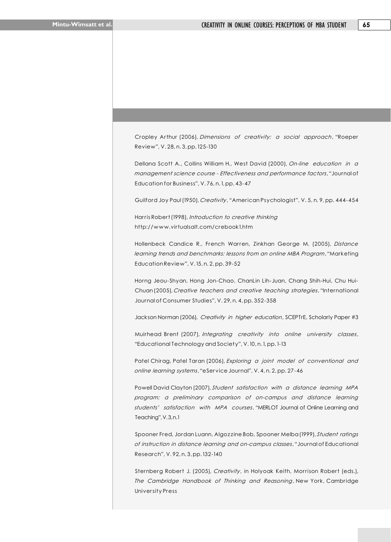Cropley Arthur (2006), *Dimensions of creativity: a social approach*, "Roeper Review", V. 28, n. 3, pp. 125-130

Dellana Scott A., Collins William H., West David (2000), *On-line education in a management science course - Effectiveness and performance factors*, "Journal of Education for Business", V. 76, n. 1, pp. 43-47

Guilford Joy Paul (1950), *Creativity*, "American Psychologist", V. 5, n. 9, pp. 444-454

Harris Robert (1998), *Introduction to creative thinking* http://www.virtualsalt.com/crebook1.htm

Hollenbeck Candice R., French Warren, Zinkhan George M. (2005), *Distance learning trends and benchmarks: lessons from an online MBA Program*, "Marketing Education Review", V. 15, n. 2, pp. 39-52

Horng Jeou-Shyan, Hong Jon-Chao, ChanLin Lih-Juan, Chang Shih-Hui, Chu Hui-Chuan (2005), *Creative teachers and creative teaching strategies*, "International Journal of Consumer Studies", V. 29, n. 4, pp. 352-358

Jackson Norman (2006), *Creativity in higher education*, SCEPTrE, Scholarly Paper #3

Muirhead Brent (2007), *Integrating creativity into online university classes*, "Educational Technology and Society", V. 10, n. 1, pp. 1-13

Patel Chirag, Patel Taran (2006), *Exploring a joint model of conventional and online learning systems*, "eService Journal", V. 4, n. 2, pp. 27-46

Powell David Clayton (2007), *Student satisfaction with a distance learning MPA program: a preliminary comparison of on-campus and distance learning students' satisfaction with MPA courses*, "MERLOT Journal of Online Learning and Teaching", V.3, n.1

Spooner Fred, Jordan Luann, Algozzine Bob, Spooner Melba (1999), *Student ratings of instruction in distance learning and on-campus classes*, "Journal of Educational Research", V. 92, n. 3, pp. 132-140

Sternberg Robert J. (2005), *Creativity*, in Holyoak Keith, Morrison Robert (eds.), *The Cambridge Handbook of Thinking and Reasoning*, New York, Cambridge University Press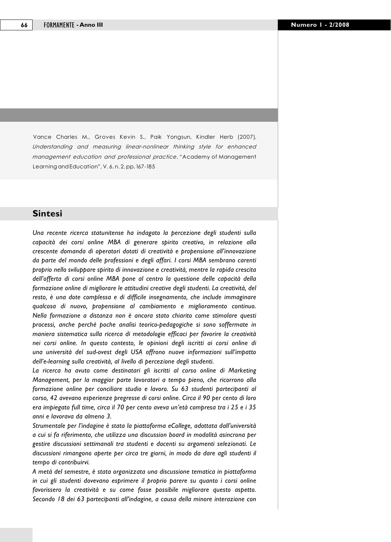Vance Charles M., Groves Kevin S., Paik Yongsun, Kindler Herb (2007), *Understanding and measuring linear-nonlinear thinking style for enhanced management education and professional practice*, "Academy of Management Learning and Education", V. 6, n. 2, pp. 167-185

## **Sintesi**

*Una recente ricerca statunitense ha indagato la percezione degli studenti sulla capacità dei corsi online MBA di generare spirito creativo, in relazione alla crescente domanda di operatori dotati di creatività e propensione all'innovazione da parte del mondo delle professioni e degli affari. I corsi MBA sembrano carenti proprio nello sviluppare spirito di innovazione e creatività, mentre la rapida crescita dell'offerta di corsi online MBA pone al centro la questione delle capacità della formazione online di migliorare le attitudini creative degli studenti. La creatività, del resto, è una dote complessa e di difficile insegnamento, che include immaginare qualcosa di nuovo, propensione al cambiamento e miglioramento continuo. Nella formazione a distanza non è ancora stato chiarito come stimolare questi processi, anche perché poche analisi teorico-pedagogiche si sono soffermate in maniera sistematica sulla ricerca di metodologie efficaci per favorire la creatività nei corsi online. In questo contesto, le opinioni degli iscritti ai corsi online di una università del sud-ovest degli USA offrono nuove informazioni sull'impatto dell'e-learning sulla creatività, al livello di percezione degli studenti.* 

*La ricerca ha avuto come destinatari gli iscritti al corso online di Marketing Management, per la maggior parte lavoratori a tempo pieno, che ricorrono alla formazione online per conciliare studio e lavoro. Su 63 studenti partecipanti al corso, 42 avevano esperienze pregresse di corsi online. Circa il 90 per cento di loro era impiegato full time, circa il 70 per cento aveva un'età compresa tra i 25 e i 35 anni e lavorava da almeno 3.* 

*Strumentale per l'indagine è stata la piattaforma eCollege, adottata dall'università a cui si fa riferimento, che utilizza una discussion board in modalità asincrona per gestire discussioni settimanali tra studenti e docenti su argomenti selezionati. Le discussioni rimangono aperte per circa tre giorni, in modo da dare agli studenti il tempo di contribuirvi.* 

*A metà del semestre, è stata organizzata una discussione tematica in piattaforma in cui gli studenti dovevano esprimere il proprio parere su quanto i corsi online favorissero la creatività e su come fosse possibile migliorare questo aspetto. Secondo 18 dei 63 partecipanti all'indagine, a causa della minore interazione con*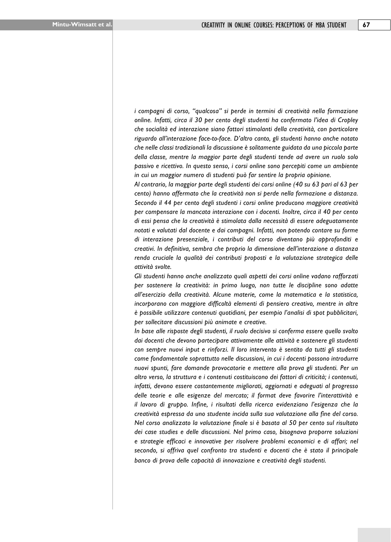*i compagni di corso, "qualcosa" si perde in termini di creatività nella formazione online. Infatti, circa il 30 per cento degli studenti ha confermato l'idea di Cropley che socialità ed interazione siano fattori stimolanti della creatività, con particolare riguardo all'interazione face-to-face. D'altro canto, gli studenti hanno anche notato che nelle classi tradizionali la discussione è solitamente guidata da una piccola parte della classe, mentre la maggior parte degli studenti tende ad avere un ruolo solo passivo e ricettivo. In questo senso, i corsi online sono percepiti come un ambiente in cui un maggior numero di studenti può far sentire la propria opinione.* 

*Al contrario, la maggior parte degli studenti dei corsi online (40 su 63 pari al 63 per cento) hanno affermato che la creatività non si perde nella formazione a distanza. Secondo il 44 per cento degli studenti i corsi online producono maggiore creatività per compensare la mancata interazione con i docenti. Inoltre, circa il 40 per cento di essi pensa che la creatività è stimolata dalla necessità di essere adeguatamente notati e valutati dal docente e dai compagni. Infatti, non potendo contare su forme di interazione presenziale, i contributi del corso diventano più approfonditi e creativi. In definitiva, sembra che proprio la dimensione dell'interazione a distanza renda cruciale la qualità dei contributi proposti e la valutazione strategica delle attività svolte.* 

*Gli studenti hanno anche analizzato quali aspetti dei corsi online vadano rafforzati per sostenere la creatività: in primo luogo, non tutte le discipline sono adatte all'esercizio della creatività. Alcune materie, come la matematica e la statistica, incorporano con maggiore difficoltà elementi di pensiero creativo, mentre in altre è possibile utilizzare contenuti quotidiani, per esempio l'analisi di spot pubblicitari, per sollecitare discussioni più animate e creative.*

*In base alle risposte degli studenti, il ruolo decisivo si conferma essere quello svolto dai docenti che devono partecipare attivamente alle attività e sostenere gli studenti con sempre nuovi input e rinforzi. Il loro intervento è sentito da tutti gli studenti come fondamentale soprattutto nelle discussioni, in cui i docenti possono introdurre nuovi spunti, fare domande provocatorie e mettere alla prova gli studenti. Per un altro verso, la struttura e i contenuti costituiscono dei fattori di criticità; i contenuti, infatti, devono essere costantemente migliorati, aggiornati e adeguati al progresso delle teorie e alle esigenze del mercato; il format deve favorire l'interattività e il lavoro di gruppo. Infine, i risultati della ricerca evidenziano l'esigenza che la creatività espressa da uno studente incida sulla sua valutazione alla fine del corso. Nel corso analizzato la valutazione finale si è basata al 50 per cento sul risultato dei case studies e delle discussioni. Nel primo caso, bisognava proporre soluzioni e strategie efficaci e innovative per risolvere problemi economici e di affari; nel secondo, si offriva quel confronto tra studenti e docenti che è stato il principale banco di prova delle capacità di innovazione e creatività degli studenti.*